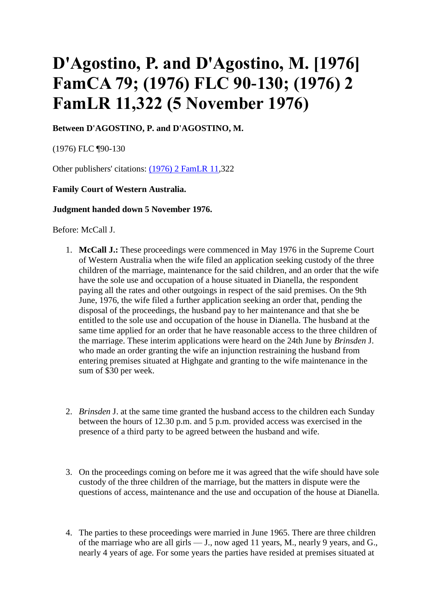# **D'Agostino, P. and D'Agostino, M. [1976] FamCA 79; (1976) FLC 90-130; (1976) 2 FamLR 11,322 (5 November 1976)**

**Between D'AGOSTINO, P. and D'AGOSTINO, M.**

(1976) FLC ¶90-130

Other publishers' citations: [\(1976\) 2 FamLR 11,](http://www.paclii.org/fj/cases/FJLawRp/1981/25.html)322

# **Family Court of Western Australia.**

## **Judgment handed down 5 November 1976.**

Before: McCall J.

- 1. **McCall J.:** These proceedings were commenced in May 1976 in the Supreme Court of Western Australia when the wife filed an application seeking custody of the three children of the marriage, maintenance for the said children, and an order that the wife have the sole use and occupation of a house situated in Dianella, the respondent paying all the rates and other outgoings in respect of the said premises. On the 9th June, 1976, the wife filed a further application seeking an order that, pending the disposal of the proceedings, the husband pay to her maintenance and that she be entitled to the sole use and occupation of the house in Dianella. The husband at the same time applied for an order that he have reasonable access to the three children of the marriage. These interim applications were heard on the 24th June by *Brinsden* J. who made an order granting the wife an injunction restraining the husband from entering premises situated at Highgate and granting to the wife maintenance in the sum of \$30 per week.
- 2. *Brinsden* J. at the same time granted the husband access to the children each Sunday between the hours of 12.30 p.m. and 5 p.m. provided access was exercised in the presence of a third party to be agreed between the husband and wife.
- 3. On the proceedings coming on before me it was agreed that the wife should have sole custody of the three children of the marriage, but the matters in dispute were the questions of access, maintenance and the use and occupation of the house at Dianella.
- 4. The parties to these proceedings were married in June 1965. There are three children of the marriage who are all girls — J., now aged 11 years, M., nearly 9 years, and G., nearly 4 years of age. For some years the parties have resided at premises situated at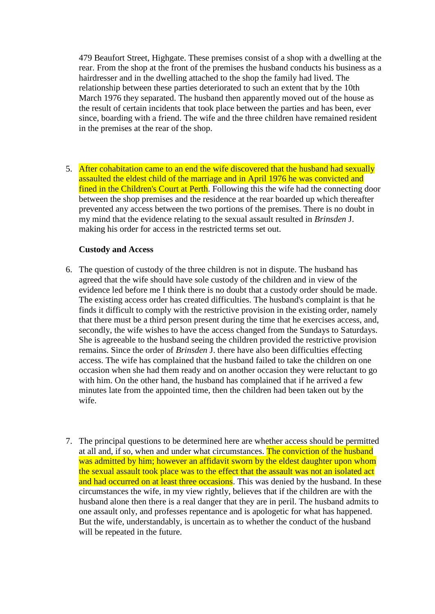479 Beaufort Street, Highgate. These premises consist of a shop with a dwelling at the rear. From the shop at the front of the premises the husband conducts his business as a hairdresser and in the dwelling attached to the shop the family had lived. The relationship between these parties deteriorated to such an extent that by the 10th March 1976 they separated. The husband then apparently moved out of the house as the result of certain incidents that took place between the parties and has been, ever since, boarding with a friend. The wife and the three children have remained resident in the premises at the rear of the shop.

5. After cohabitation came to an end the wife discovered that the husband had sexually assaulted the eldest child of the marriage and in April 1976 he was convicted and fined in the Children's Court at Perth. Following this the wife had the connecting door between the shop premises and the residence at the rear boarded up which thereafter prevented any access between the two portions of the premises. There is no doubt in my mind that the evidence relating to the sexual assault resulted in *Brinsden* J. making his order for access in the restricted terms set out.

# **Custody and Access**

- 6. The question of custody of the three children is not in dispute. The husband has agreed that the wife should have sole custody of the children and in view of the evidence led before me I think there is no doubt that a custody order should be made. The existing access order has created difficulties. The husband's complaint is that he finds it difficult to comply with the restrictive provision in the existing order, namely that there must be a third person present during the time that he exercises access, and, secondly, the wife wishes to have the access changed from the Sundays to Saturdays. She is agreeable to the husband seeing the children provided the restrictive provision remains. Since the order of *Brinsden* J. there have also been difficulties effecting access. The wife has complained that the husband failed to take the children on one occasion when she had them ready and on another occasion they were reluctant to go with him. On the other hand, the husband has complained that if he arrived a few minutes late from the appointed time, then the children had been taken out by the wife.
- 7. The principal questions to be determined here are whether access should be permitted at all and, if so, when and under what circumstances. The conviction of the husband was admitted by him; however an affidavit sworn by the eldest daughter upon whom the sexual assault took place was to the effect that the assault was not an isolated act and had occurred on at least three occasions. This was denied by the husband. In these circumstances the wife, in my view rightly, believes that if the children are with the husband alone then there is a real danger that they are in peril. The husband admits to one assault only, and professes repentance and is apologetic for what has happened. But the wife, understandably, is uncertain as to whether the conduct of the husband will be repeated in the future.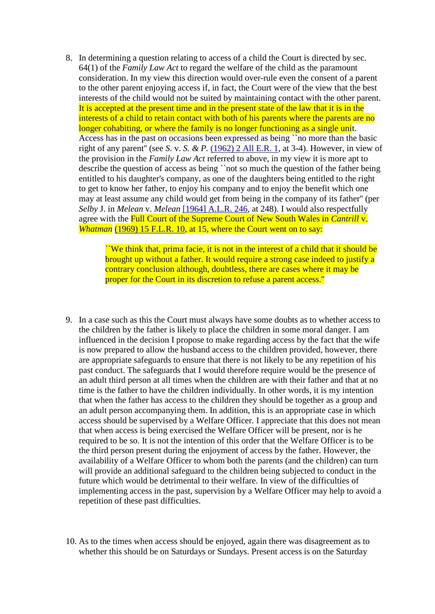8. In determining a question relating to access of a child the Court is directed by sec. 64(1) of the *Family Law Act* to regard the welfare of the child as the paramount consideration. In my view this direction would over-rule even the consent of a parent to the other parent enjoying access if, in fact, the Court were of the view that the best interests of the child would not be suited by maintaining contact with the other parent. It is accepted at the present time and in the present state of the law that it is in the interests of a child to retain contact with both of his parents where the parents are no longer cohabiting, or where the family is no longer functioning as a single unit. Access has in the past on occasions been expressed as being ``no more than the basic right of any parent'' (see *S.* v. *S. & P.* [\(1962\) 2 All E.R. 1,](http://www.austlii.edu.au/cgi-bin/LawCite?cit=%281962%29%202%20All%20ER%201) at 3-4). However, in view of the provision in the *Family Law Act* referred to above, in my view it is more apt to describe the question of access as being ``not so much the question of the father being entitled to his daughter's company, as one of the daughters being entitled to the right to get to know her father, to enjoy his company and to enjoy the benefit which one may at least assume any child would get from being in the company of its father'' (per *Selby* J. in *Melean* v. *Melean* [\[1964\] A.L.R. 246,](http://www.austlii.edu.au/cgi-bin/LawCite?cit=%5b1964%5d%20ALR%20246) at 248). I would also respectfully agree with the Full Court of the Supreme Court of New South Wales in *Cantrill* v. *Whatman* [\(1969\) 15 F.L.R. 10,](http://www.austlii.edu.au/cgi-bin/LawCite?cit=%281969%29%2015%20FLR%2010) at 15, where the Court went on to say:

> ``We think that, prima facie, it is not in the interest of a child that it should be brought up without a father. It would require a strong case indeed to justify a contrary conclusion although, doubtless, there are cases where it may be proper for the Court in its discretion to refuse a parent access.''

- 9. In a case such as this the Court must always have some doubts as to whether access to the children by the father is likely to place the children in some moral danger. I am influenced in the decision I propose to make regarding access by the fact that the wife is now prepared to allow the husband access to the children provided, however, there are appropriate safeguards to ensure that there is not likely to be any repetition of his past conduct. The safeguards that I would therefore require would be the presence of an adult third person at all times when the children are with their father and that at no time is the father to have the children individually. In other words, it is my intention that when the father has access to the children they should be together as a group and an adult person accompanying them. In addition, this is an appropriate case in which access should be supervised by a Welfare Officer. I appreciate that this does not mean that when access is being exercised the Welfare Officer will be present, nor is he required to be so. It is not the intention of this order that the Welfare Officer is to be the third person present during the enjoyment of access by the father. However, the availability of a Welfare Officer to whom both the parents (and the children) can turn will provide an additional safeguard to the children being subjected to conduct in the future which would be detrimental to their welfare. In view of the difficulties of implementing access in the past, supervision by a Welfare Officer may help to avoid a repetition of these past difficulties.
- 10. As to the times when access should be enjoyed, again there was disagreement as to whether this should be on Saturdays or Sundays. Present access is on the Saturday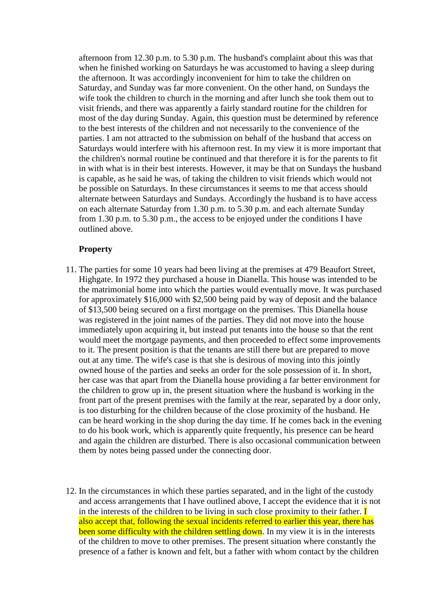afternoon from 12.30 p.m. to 5.30 p.m. The husband's complaint about this was that when he finished working on Saturdays he was accustomed to having a sleep during the afternoon. It was accordingly inconvenient for him to take the children on Saturday, and Sunday was far more convenient. On the other hand, on Sundays the wife took the children to church in the morning and after lunch she took them out to visit friends, and there was apparently a fairly standard routine for the children for most of the day during Sunday. Again, this question must be determined by reference to the best interests of the children and not necessarily to the convenience of the parties. I am not attracted to the submission on behalf of the husband that access on Saturdays would interfere with his afternoon rest. In my view it is more important that the children's normal routine be continued and that therefore it is for the parents to fit in with what is in their best interests. However, it may be that on Sundays the husband is capable, as he said he was, of taking the children to visit friends which would not be possible on Saturdays. In these circumstances it seems to me that access should alternate between Saturdays and Sundays. Accordingly the husband is to have access on each alternate Saturday from 1.30 p.m. to 5.30 p.m. and each alternate Sunday from 1.30 p.m. to 5.30 p.m., the access to be enjoyed under the conditions I have outlined above.

## **Property**

- 11. The parties for some 10 years had been living at the premises at 479 Beaufort Street, Highgate. In 1972 they purchased a house in Dianella. This house was intended to be the matrimonial home into which the parties would eventually move. It was purchased for approximately \$16,000 with \$2,500 being paid by way of deposit and the balance of \$13,500 being secured on a first mortgage on the premises. This Dianella house was registered in the joint names of the parties. They did not move into the house immediately upon acquiring it, but instead put tenants into the house so that the rent would meet the mortgage payments, and then proceeded to effect some improvements to it. The present position is that the tenants are still there but are prepared to move out at any time. The wife's case is that she is desirous of moving into this jointly owned house of the parties and seeks an order for the sole possession of it. In short, her case was that apart from the Dianella house providing a far better environment for the children to grow up in, the present situation where the husband is working in the front part of the present premises with the family at the rear, separated by a door only, is too disturbing for the children because of the close proximity of the husband. He can be heard working in the shop during the day time. If he comes back in the evening to do his book work, which is apparently quite frequently, his presence can be heard and again the children are disturbed. There is also occasional communication between them by notes being passed under the connecting door.
- 12. In the circumstances in which these parties separated, and in the light of the custody and access arrangements that I have outlined above, I accept the evidence that it is not in the interests of the children to be living in such close proximity to their father.  $\mathbf I$ also accept that, following the sexual incidents referred to earlier this year, there has been some difficulty with the children settling down. In my view it is in the interests of the children to move to other premises. The present situation where constantly the presence of a father is known and felt, but a father with whom contact by the children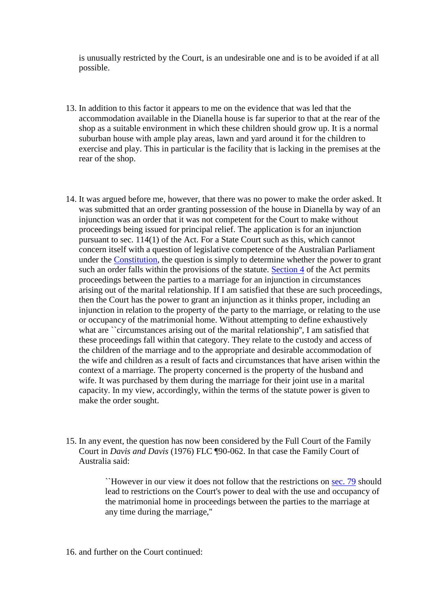is unusually restricted by the Court, is an undesirable one and is to be avoided if at all possible.

- 13. In addition to this factor it appears to me on the evidence that was led that the accommodation available in the Dianella house is far superior to that at the rear of the shop as a suitable environment in which these children should grow up. It is a normal suburban house with ample play areas, lawn and yard around it for the children to exercise and play. This in particular is the facility that is lacking in the premises at the rear of the shop.
- 14. It was argued before me, however, that there was no power to make the order asked. It was submitted that an order granting possession of the house in Dianella by way of an injunction was an order that it was not competent for the Court to make without proceedings being issued for principal relief. The application is for an injunction pursuant to sec. 114(1) of the Act. For a State Court such as this, which cannot concern itself with a question of legislative competence of the Australian Parliament under the [Constitution,](http://www.austlii.edu.au/cgi-bin/viewdoc/au/legis/cth/consol_act/coaca430/) the question is simply to determine whether the power to grant such an order falls within the provisions of the statute. [Section 4](http://www.austlii.edu.au/cgi-bin/viewdoc/au/legis/cth/consol_act/coaca430/s4.html) of the Act permits proceedings between the parties to a marriage for an injunction in circumstances arising out of the marital relationship. If I am satisfied that these are such proceedings, then the Court has the power to grant an injunction as it thinks proper, including an injunction in relation to the property of the party to the marriage, or relating to the use or occupancy of the matrimonial home. Without attempting to define exhaustively what are ``circumstances arising out of the marital relationship'', I am satisfied that these proceedings fall within that category. They relate to the custody and access of the children of the marriage and to the appropriate and desirable accommodation of the wife and children as a result of facts and circumstances that have arisen within the context of a marriage. The property concerned is the property of the husband and wife. It was purchased by them during the marriage for their joint use in a marital capacity. In my view, accordingly, within the terms of the statute power is given to make the order sought.
- 15. In any event, the question has now been considered by the Full Court of the Family Court in *Davis and Davis* (1976) FLC ¶90-062. In that case the Family Court of Australia said:

``However in our view it does not follow that the restrictions on [sec. 79](http://www.austlii.edu.au/cgi-bin/viewdoc/au/legis/cth/consol_act/coaca430/s79.html) should lead to restrictions on the Court's power to deal with the use and occupancy of the matrimonial home in proceedings between the parties to the marriage at any time during the marriage,''

16. and further on the Court continued: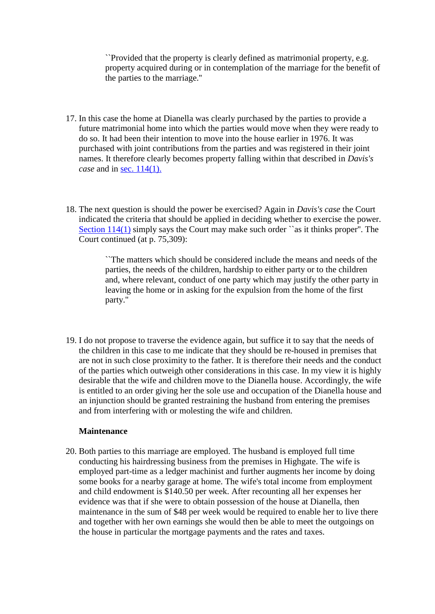``Provided that the property is clearly defined as matrimonial property, e.g. property acquired during or in contemplation of the marriage for the benefit of the parties to the marriage.''

- 17. In this case the home at Dianella was clearly purchased by the parties to provide a future matrimonial home into which the parties would move when they were ready to do so. It had been their intention to move into the house earlier in 1976. It was purchased with joint contributions from the parties and was registered in their joint names. It therefore clearly becomes property falling within that described in *Davis's case* and in [sec. 114\(1\).](http://www.austlii.edu.au/cgi-bin/viewdoc/au/legis/cth/consol_act/coaca430/s114.html)
- 18. The next question is should the power be exercised? Again in *Davis's case* the Court indicated the criteria that should be applied in deciding whether to exercise the power. [Section 114\(1\)](http://www.austlii.edu.au/cgi-bin/viewdoc/au/legis/cth/consol_act/coaca430/s114.html) simply says the Court may make such order ``as it thinks proper''. The Court continued (at p. 75,309):

``The matters which should be considered include the means and needs of the parties, the needs of the children, hardship to either party or to the children and, where relevant, conduct of one party which may justify the other party in leaving the home or in asking for the expulsion from the home of the first party.''

19. I do not propose to traverse the evidence again, but suffice it to say that the needs of the children in this case to me indicate that they should be re-housed in premises that are not in such close proximity to the father. It is therefore their needs and the conduct of the parties which outweigh other considerations in this case. In my view it is highly desirable that the wife and children move to the Dianella house. Accordingly, the wife is entitled to an order giving her the sole use and occupation of the Dianella house and an injunction should be granted restraining the husband from entering the premises and from interfering with or molesting the wife and children.

#### **Maintenance**

20. Both parties to this marriage are employed. The husband is employed full time conducting his hairdressing business from the premises in Highgate. The wife is employed part-time as a ledger machinist and further augments her income by doing some books for a nearby garage at home. The wife's total income from employment and child endowment is \$140.50 per week. After recounting all her expenses her evidence was that if she were to obtain possession of the house at Dianella, then maintenance in the sum of \$48 per week would be required to enable her to live there and together with her own earnings she would then be able to meet the outgoings on the house in particular the mortgage payments and the rates and taxes.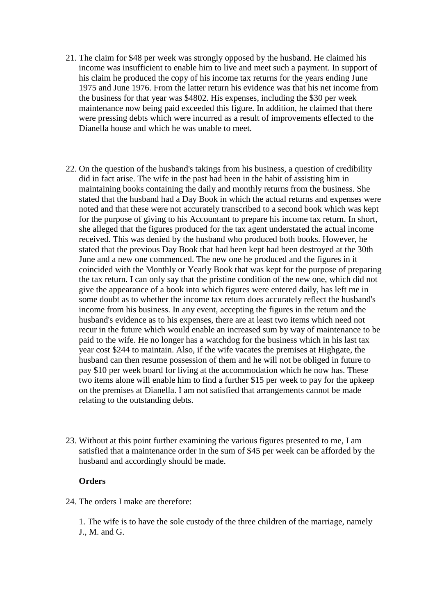- 21. The claim for \$48 per week was strongly opposed by the husband. He claimed his income was insufficient to enable him to live and meet such a payment. In support of his claim he produced the copy of his income tax returns for the years ending June 1975 and June 1976. From the latter return his evidence was that his net income from the business for that year was \$4802. His expenses, including the \$30 per week maintenance now being paid exceeded this figure. In addition, he claimed that there were pressing debts which were incurred as a result of improvements effected to the Dianella house and which he was unable to meet.
- 22. On the question of the husband's takings from his business, a question of credibility did in fact arise. The wife in the past had been in the habit of assisting him in maintaining books containing the daily and monthly returns from the business. She stated that the husband had a Day Book in which the actual returns and expenses were noted and that these were not accurately transcribed to a second book which was kept for the purpose of giving to his Accountant to prepare his income tax return. In short, she alleged that the figures produced for the tax agent understated the actual income received. This was denied by the husband who produced both books. However, he stated that the previous Day Book that had been kept had been destroyed at the 30th June and a new one commenced. The new one he produced and the figures in it coincided with the Monthly or Yearly Book that was kept for the purpose of preparing the tax return. I can only say that the pristine condition of the new one, which did not give the appearance of a book into which figures were entered daily, has left me in some doubt as to whether the income tax return does accurately reflect the husband's income from his business. In any event, accepting the figures in the return and the husband's evidence as to his expenses, there are at least two items which need not recur in the future which would enable an increased sum by way of maintenance to be paid to the wife. He no longer has a watchdog for the business which in his last tax year cost \$244 to maintain. Also, if the wife vacates the premises at Highgate, the husband can then resume possession of them and he will not be obliged in future to pay \$10 per week board for living at the accommodation which he now has. These two items alone will enable him to find a further \$15 per week to pay for the upkeep on the premises at Dianella. I am not satisfied that arrangements cannot be made relating to the outstanding debts.
- 23. Without at this point further examining the various figures presented to me, I am satisfied that a maintenance order in the sum of \$45 per week can be afforded by the husband and accordingly should be made.

## **Orders**

24. The orders I make are therefore:

1. The wife is to have the sole custody of the three children of the marriage, namely J., M. and G.